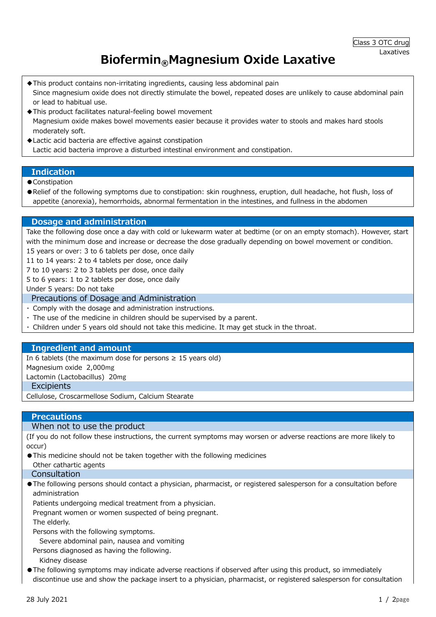# Biofermin®Magnesium Oxide Laxative

- ◆This product contains non-irritating ingredients, causing less abdominal pain Since magnesium oxide does not directly stimulate the bowel, repeated doses are unlikely to cause abdominal pain or lead to habitual use.
- ◆This product facilitates natural-feeling bowel movement Magnesium oxide makes bowel movements easier because it provides water to stools and makes hard stools moderately soft.
- ◆Lactic acid bacteria are effective against constipation Lactic acid bacteria improve a disturbed intestinal environment and constipation.

#### Indication

- Constipation
- ●Relief of the following symptoms due to constipation: skin roughness, eruption, dull headache, hot flush, loss of appetite (anorexia), hemorrhoids, abnormal fermentation in the intestines, and fullness in the abdomen

## Dosage and administration

Take the following dose once a day with cold or lukewarm water at bedtime (or on an empty stomach). However, start with the minimum dose and increase or decrease the dose gradually depending on bowel movement or condition. 15 years or over: 3 to 6 tablets per dose, once daily

11 to 14 years: 2 to 4 tablets per dose, once daily

7 to 10 years: 2 to 3 tablets per dose, once daily

5 to 6 years: 1 to 2 tablets per dose, once daily

Under 5 years: Do not take

#### Precautions of Dosage and Administration

- ・ Comply with the dosage and administration instructions.
- ・ The use of the medicine in children should be supervised by a parent.
- ・ Children under 5 years old should not take this medicine. It may get stuck in the throat.

## Ingredient and amount

In 6 tablets (the maximum dose for persons  $\geq 15$  years old)

Magnesium oxide 2,000mg

Lactomin (Lactobacillus) 20mg

#### **Excipients**

Cellulose, Croscarmellose Sodium, Calcium Stearate

## **Precautions**

## When not to use the product

(If you do not follow these instructions, the current symptoms may worsen or adverse reactions are more likely to occur)

●This medicine should not be taken together with the following medicines Other cathartic agents

#### Consultation

●The following persons should contact a physician, pharmacist, or registered salesperson for a consultation before administration

Patients undergoing medical treatment from a physician.

Pregnant women or women suspected of being pregnant.

The elderly.

Persons with the following symptoms.

Severe abdominal pain, nausea and vomiting

Persons diagnosed as having the following.

Kidnev disease

●The following symptoms may indicate adverse reactions if observed after using this product, so immediately discontinue use and show the package insert to a physician, pharmacist, or registered salesperson for consultation